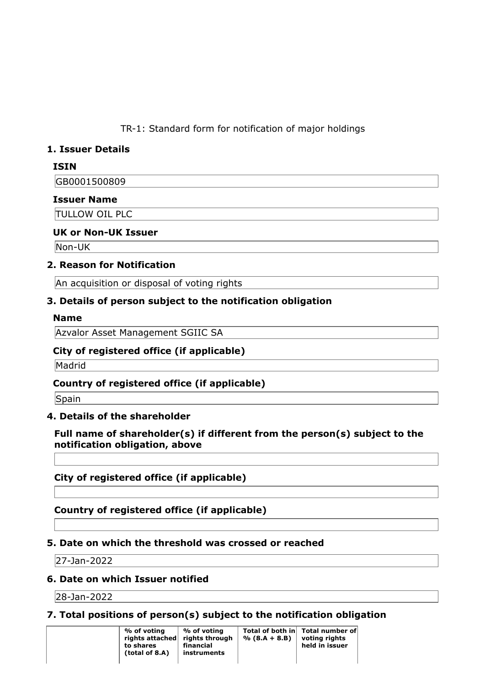TR-1: Standard form for notification of major holdings

## **1. Issuer Details**

## **ISIN**

GB0001500809

## **Issuer Name**

TULLOW OIL PLC

## **UK or Non-UK Issuer**

Non-UK

## **2. Reason for Notification**

An acquisition or disposal of voting rights

## **3. Details of person subject to the notification obligation**

#### **Name**

Azvalor Asset Management SGIIC SA

### **City of registered office (if applicable)**

Madrid

## **Country of registered office (if applicable)**

Spain

### **4. Details of the shareholder**

## **Full name of shareholder(s) if different from the person(s) subject to the notification obligation, above**

**City of registered office (if applicable)**

**Country of registered office (if applicable)**

### **5. Date on which the threshold was crossed or reached**

27-Jan-2022

### **6. Date on which Issuer notified**

28-Jan-2022

## **7. Total positions of person(s) subject to the notification obligation**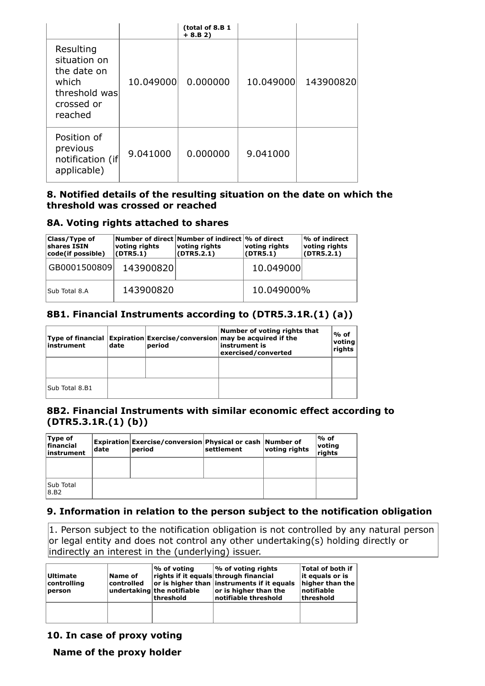|                                                                                             |           | (total of 8.B 1<br>$+ 8.B 2)$ |           |           |
|---------------------------------------------------------------------------------------------|-----------|-------------------------------|-----------|-----------|
| Resulting<br>situation on<br>the date on<br>which<br>threshold was<br>crossed or<br>reached | 10.049000 | 0.000000                      | 10.049000 | 143900820 |
| Position of<br>previous<br>notification (if<br>applicable)                                  | 9.041000  | 0.000000                      | 9.041000  |           |

#### **8. Notified details of the resulting situation on the date on which the threshold was crossed or reached**

#### **8A. Voting rights attached to shares**

| Class/Type of<br>shares ISIN<br>code(if possible) | voting rights<br>(DTR5.1) | $\mid$ Number of direct $\mid$ Number of indirect $\mid$ % of direct<br>voting rights<br>(DTR5.2.1) | voting rights<br>(DTR5.1) | $\mathsf{I}\%$ of indirect<br>voting rights<br>(DTR5.2.1) |
|---------------------------------------------------|---------------------------|-----------------------------------------------------------------------------------------------------|---------------------------|-----------------------------------------------------------|
| GB0001500809                                      | 143900820                 |                                                                                                     | 10.049000                 |                                                           |
| lSub Total 8.A                                    | 143900820                 |                                                                                                     | 10.049000%                |                                                           |

## **8B1. Financial Instruments according to (DTR5.3.1R.(1) (a))**

| instrument      | date | period | Number of voting rights that<br>$ \mathsf{Type\ of\ financial\ } \mathsf{Expiration} $ Exercise/conversion $ \mathsf{may\ be\ acquired\ if\ the} \$<br>instrument is<br>exercised/converted | ∣% of<br>voting<br>rights |
|-----------------|------|--------|---------------------------------------------------------------------------------------------------------------------------------------------------------------------------------------------|---------------------------|
|                 |      |        |                                                                                                                                                                                             |                           |
| lSub Total 8.B1 |      |        |                                                                                                                                                                                             |                           |

### **8B2. Financial Instruments with similar economic effect according to (DTR5.3.1R.(1) (b))**

| Type of<br><b>financial</b><br>instrument | date | Expiration Exercise/conversion Physical or cash Number of<br>period | settlement | voting rights | ∣% of<br>voting<br><sup>1</sup> rights |
|-------------------------------------------|------|---------------------------------------------------------------------|------------|---------------|----------------------------------------|
|                                           |      |                                                                     |            |               |                                        |
| <b>Sub Total</b><br>8.B2                  |      |                                                                     |            |               |                                        |

### **9. Information in relation to the person subject to the notification obligation**

 $\vert$ 1. Person subject to the notification obligation is not controlled by any natural person or legal entity and does not control any other undertaking(s) holding directly or indirectly an interest in the (underlying) issuer.

| <b>Ultimate</b><br> controllina<br>person | Name of<br>controlled | ∣% of voting<br>undertaking the notifiable<br> threshold | $\infty$ of voting rights<br>rights if it equals through financial<br>or is higher than instruments if it equals<br>or is higher than the<br>notifiable threshold | <b>Total of both if</b><br>lit equals or is<br>higher than the<br> notifiable<br>threshold |
|-------------------------------------------|-----------------------|----------------------------------------------------------|-------------------------------------------------------------------------------------------------------------------------------------------------------------------|--------------------------------------------------------------------------------------------|
|                                           |                       |                                                          |                                                                                                                                                                   |                                                                                            |

#### **10. In case of proxy voting**

**Name of the proxy holder**